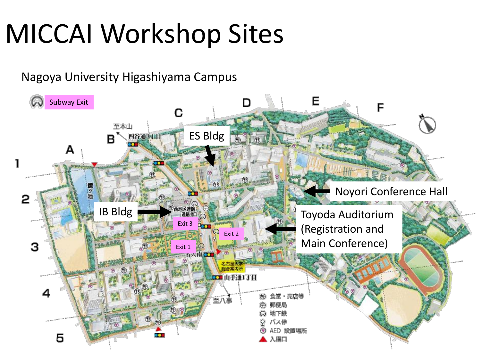## MICCAI Workshop Sites

Nagoya University Higashiyama Campus

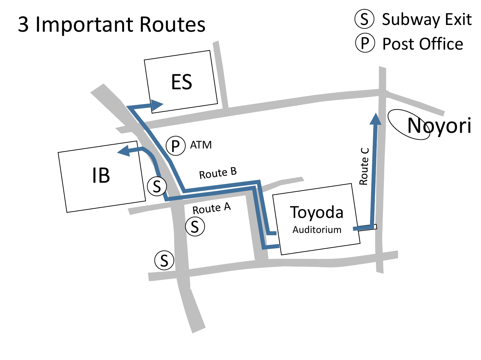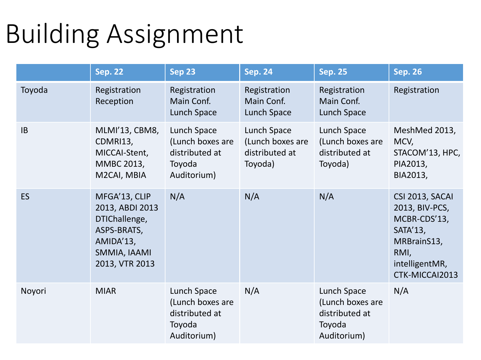## Building Assignment

|           | <b>Sep. 22</b>                                                                                                  | Sep 23                                                                     | <b>Sep. 24</b>                                               | <b>Sep. 25</b>                                                             | <b>Sep. 26</b>                                                                                                           |
|-----------|-----------------------------------------------------------------------------------------------------------------|----------------------------------------------------------------------------|--------------------------------------------------------------|----------------------------------------------------------------------------|--------------------------------------------------------------------------------------------------------------------------|
| Toyoda    | Registration<br>Reception                                                                                       | Registration<br>Main Conf.<br>Lunch Space                                  | Registration<br>Main Conf.<br>Lunch Space                    | Registration<br>Main Conf.<br>Lunch Space                                  | Registration                                                                                                             |
| IB        | MLMI'13, CBM8,<br>CDMRI13,<br>MICCAI-Stent,<br>MMBC 2013,<br>M2CAI, MBIA                                        | Lunch Space<br>(Lunch boxes are<br>distributed at<br>Toyoda<br>Auditorium) | Lunch Space<br>(Lunch boxes are<br>distributed at<br>Toyoda) | Lunch Space<br>(Lunch boxes are<br>distributed at<br>Toyoda)               | MeshMed 2013,<br>MCV,<br>STACOM'13, HPC,<br>PIA2013,<br>BIA2013,                                                         |
| <b>ES</b> | MFGA'13, CLIP<br>2013, ABDI 2013<br>DTIChallenge,<br>ASPS-BRATS,<br>AMIDA'13,<br>SMMIA, IAAMI<br>2013, VTR 2013 | N/A                                                                        | N/A                                                          | N/A                                                                        | CSI 2013, SACAI<br>2013, BIV-PCS,<br>MCBR-CDS'13,<br>SATA'13,<br>MRBrainS13,<br>RMI,<br>intelligentMR,<br>CTK-MICCAI2013 |
| Noyori    | <b>MIAR</b>                                                                                                     | Lunch Space<br>(Lunch boxes are<br>distributed at<br>Toyoda<br>Auditorium) | N/A                                                          | Lunch Space<br>(Lunch boxes are<br>distributed at<br>Toyoda<br>Auditorium) | N/A                                                                                                                      |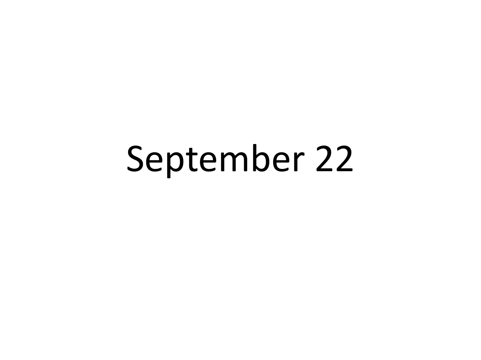## September 22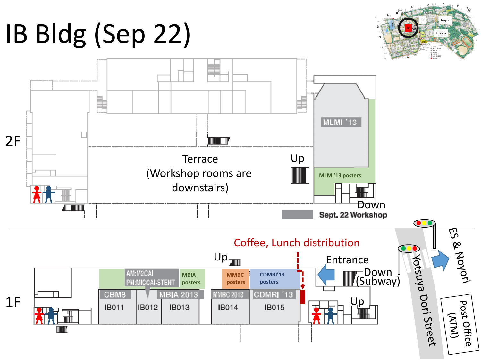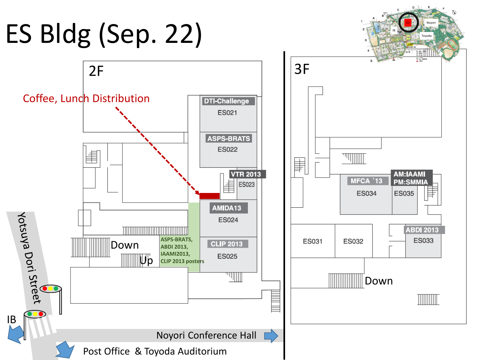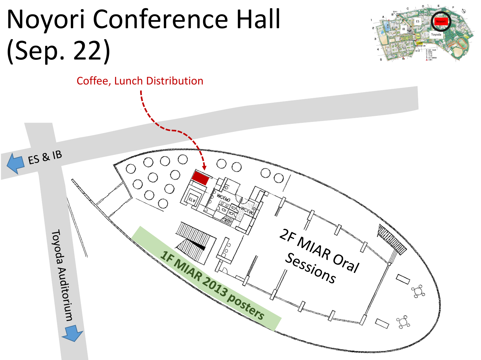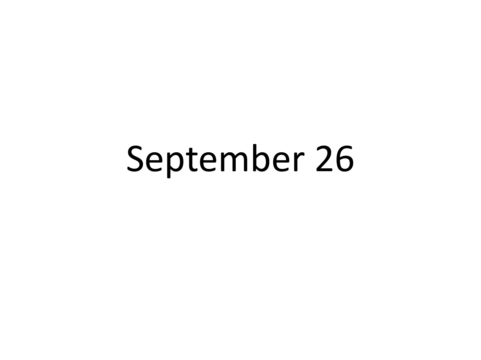## September 26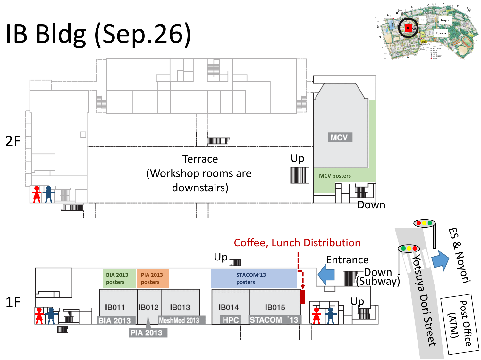





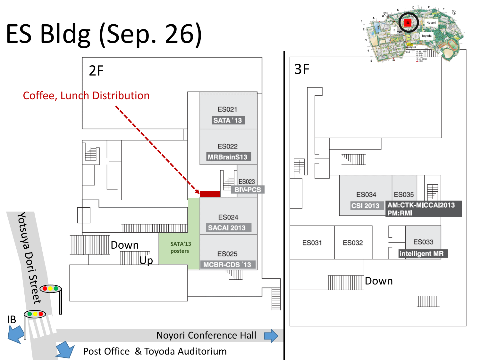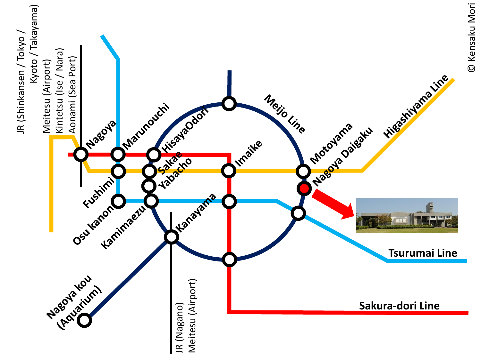